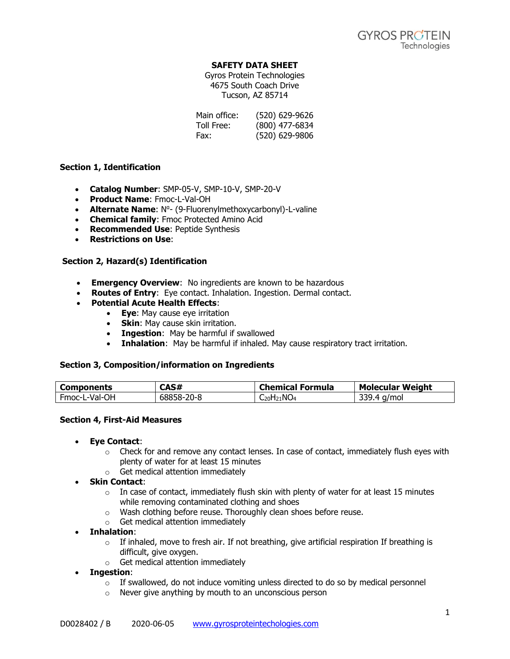## **SAFETY DATA SHEET**

Gyros Protein Technologies 4675 South Coach Drive Tucson, AZ 85714

| Main office: | (520) 629-9626 |
|--------------|----------------|
| Toll Free:   | (800) 477-6834 |
| Fax:         | (520) 629-9806 |

## **Section 1, Identification**

- **Catalog Number**: SMP-05-V, SMP-10-V, SMP-20-V
- **Product Name**: Fmoc-L-Val-OH
- **Alternate Name: N<sup>o</sup>- (9-Fluorenylmethoxycarbonyl)-L-valine**
- **Chemical family**: Fmoc Protected Amino Acid
- **Recommended Use**: Peptide Synthesis
- **Restrictions on Use**:

## **Section 2, Hazard(s) Identification**

- **Emergency Overview**: No ingredients are known to be hazardous
- **Routes of Entry**: Eye contact. Inhalation. Ingestion. Dermal contact.
- **Potential Acute Health Effects**:
	- **Eye**: May cause eye irritation
	- **Skin**: May cause skin irritation.
	- **Ingestion**: May be harmful if swallowed
	- **Inhalation**: May be harmful if inhaled. May cause respiratory tract irritation.

## **Section 3, Composition/information on Ingredients**

| Components    | 78 H<br>саэ#       | <b>Chemical Formula</b> | <b>Molecular Weight</b>             |
|---------------|--------------------|-------------------------|-------------------------------------|
| Fmoc-L-Val-OH | 68858-.<br>$-20-8$ | $20H_{21}NO_4$          | <b>RRS</b><br>a/mol<br>$\mathbf{A}$ |

## **Section 4, First-Aid Measures**

- **Eye Contact**:
	- $\circ$  Check for and remove any contact lenses. In case of contact, immediately flush eyes with plenty of water for at least 15 minutes
	- o Get medical attention immediately
- **Skin Contact**:
	- $\circ$  In case of contact, immediately flush skin with plenty of water for at least 15 minutes while removing contaminated clothing and shoes
	- o Wash clothing before reuse. Thoroughly clean shoes before reuse.
	- o Get medical attention immediately
- **Inhalation**:
	- $\circ$  If inhaled, move to fresh air. If not breathing, give artificial respiration If breathing is difficult, give oxygen.
	- o Get medical attention immediately
- **Ingestion**:
	- $\circ$  If swallowed, do not induce vomiting unless directed to do so by medical personnel
	- o Never give anything by mouth to an unconscious person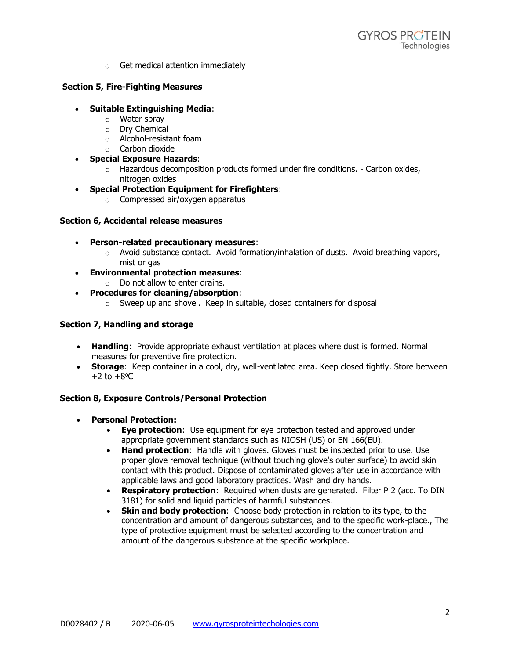o Get medical attention immediately

## **Section 5, Fire-Fighting Measures**

- **Suitable Extinguishing Media**:
	- o Water spray
	- o Dry Chemical
	- o Alcohol-resistant foam
	- o Carbon dioxide
- **Special Exposure Hazards**:
	- $\circ$  Hazardous decomposition products formed under fire conditions. Carbon oxides, nitrogen oxides
- **Special Protection Equipment for Firefighters**:
	- o Compressed air/oxygen apparatus

## **Section 6, Accidental release measures**

- **Person-related precautionary measures**:
	- $\circ$  Avoid substance contact. Avoid formation/inhalation of dusts. Avoid breathing vapors, mist or gas
- **Environmental protection measures**:
	- $\circ$  Do not allow to enter drains.
- **Procedures for cleaning/absorption**:
	- o Sweep up and shovel. Keep in suitable, closed containers for disposal

# **Section 7, Handling and storage**

- **Handling**: Provide appropriate exhaust ventilation at places where dust is formed. Normal measures for preventive fire protection.
- **Storage:** Keep container in a cool, dry, well-ventilated area. Keep closed tightly. Store between  $+2$  to  $+8$ <sup>o</sup>C

# **Section 8, Exposure Controls/Personal Protection**

- **Personal Protection:**
	- **Eye protection**: Use equipment for eye protection tested and approved under appropriate government standards such as NIOSH (US) or EN 166(EU).
	- **Hand protection**: Handle with gloves. Gloves must be inspected prior to use. Use proper glove removal technique (without touching glove's outer surface) to avoid skin contact with this product. Dispose of contaminated gloves after use in accordance with applicable laws and good laboratory practices. Wash and dry hands.
	- **Respiratory protection**: Required when dusts are generated. Filter P 2 (acc. To DIN 3181) for solid and liquid particles of harmful substances.
	- **Skin and body protection**: Choose body protection in relation to its type, to the concentration and amount of dangerous substances, and to the specific work-place., The type of protective equipment must be selected according to the concentration and amount of the dangerous substance at the specific workplace.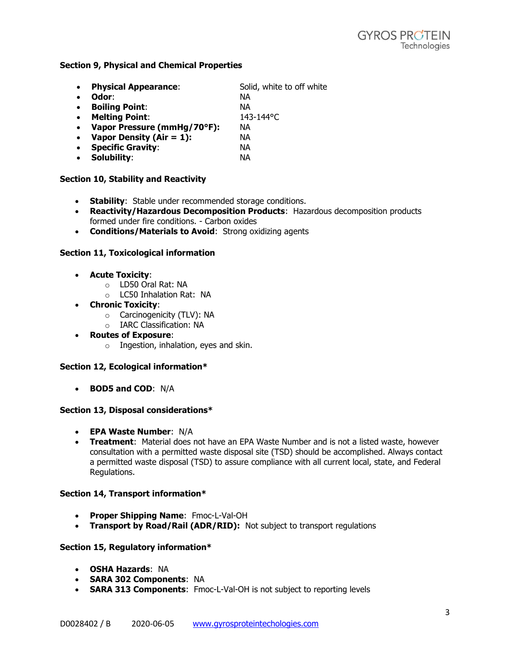#### **Section 9, Physical and Chemical Properties**

| $\bullet$ | <b>Physical Appearance:</b> | Solid, white to off white |
|-----------|-----------------------------|---------------------------|
| $\bullet$ | Odor:                       | NА                        |
| $\bullet$ | <b>Boiling Point:</b>       | NА                        |
| $\bullet$ | <b>Melting Point:</b>       | 143-144°C                 |
| $\bullet$ | Vapor Pressure (mmHg/70°F): | NА                        |
| $\bullet$ | Vapor Density (Air = $1$ ): | NА                        |
| $\bullet$ | <b>Specific Gravity:</b>    | NА                        |
| $\bullet$ | Solubility:                 | NА                        |
|           |                             |                           |

#### **Section 10, Stability and Reactivity**

- **Stability**: Stable under recommended storage conditions.
- **Reactivity/Hazardous Decomposition Products**: Hazardous decomposition products formed under fire conditions. - Carbon oxides
- **Conditions/Materials to Avoid**: Strong oxidizing agents

#### **Section 11, Toxicological information**

- **Acute Toxicity**:
	- o LD50 Oral Rat: NA
	- o LC50 Inhalation Rat: NA
- **Chronic Toxicity**:
	- o Carcinogenicity (TLV): NA
	- o IARC Classification: NA
- **Routes of Exposure**:
	- $\circ$  Ingestion, inhalation, eyes and skin.

## **Section 12, Ecological information\***

• **BOD5 and COD**: N/A

#### **Section 13, Disposal considerations\***

- **EPA Waste Number**: N/A
- **Treatment**: Material does not have an EPA Waste Number and is not a listed waste, however consultation with a permitted waste disposal site (TSD) should be accomplished. Always contact a permitted waste disposal (TSD) to assure compliance with all current local, state, and Federal Regulations.

#### **Section 14, Transport information\***

- **Proper Shipping Name**: Fmoc-L-Val-OH
- **Transport by Road/Rail (ADR/RID):** Not subject to transport regulations

#### **Section 15, Regulatory information\***

- **OSHA Hazards**: NA
- **SARA 302 Components**: NA
- **SARA 313 Components**: Fmoc-L-Val-OH is not subject to reporting levels